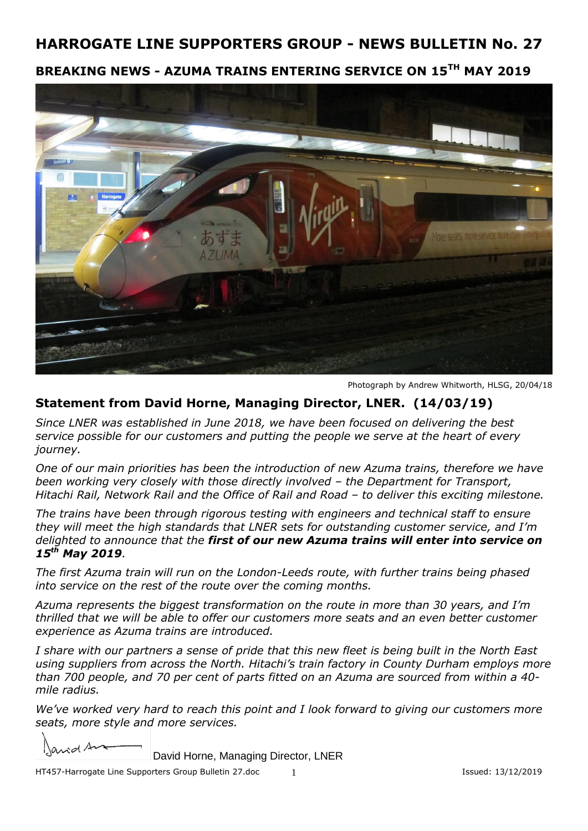## **BREAKING NEWS - AZUMA TRAINS ENTERING SERVICE ON 15TH MAY 2019**



Photograph by Andrew Whitworth, HLSG, 20/04/18

## **Statement from David Horne, Managing Director, LNER. (14/03/19)**

*Since LNER was established in June 2018, we have been focused on delivering the best service possible for our customers and putting the people we serve at the heart of every journey.*

*One of our main priorities has been the introduction of new Azuma trains, therefore we have been working very closely with those directly involved – the Department for Transport, Hitachi Rail, Network Rail and the Office of Rail and Road – to deliver this exciting milestone.*

*The trains have been through rigorous testing with engineers and technical staff to ensure they will meet the high standards that LNER sets for outstanding customer service, and I'm delighted to announce that the first of our new Azuma trains will enter into service on 15th May 2019.* 

*The first Azuma train will run on the London-Leeds route, with further trains being phased into service on the rest of the route over the coming months.* 

*Azuma represents the biggest transformation on the route in more than 30 years, and I'm thrilled that we will be able to offer our customers more seats and an even better customer experience as Azuma trains are introduced.*

*I share with our partners a sense of pride that this new fleet is being built in the North East using suppliers from across the North. Hitachi's train factory in County Durham employs more than 700 people, and 70 per cent of parts fitted on an Azuma are sourced from within a 40 mile radius.*

*We've worked very hard to reach this point and I look forward to giving our customers more seats, more style and more services.* 

and A

David Horne, Managing Director, LNER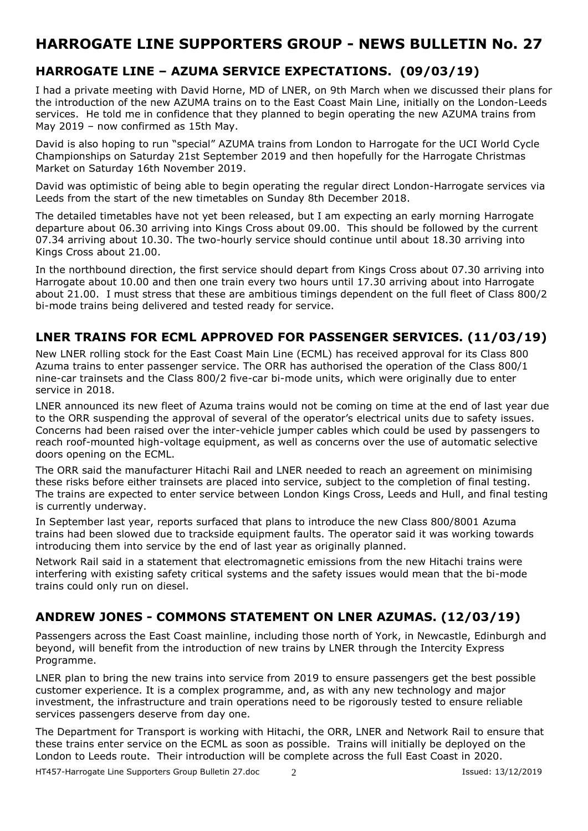## **HARROGATE LINE – AZUMA SERVICE EXPECTATIONS. (09/03/19)**

I had a private meeting with David Horne, MD of LNER, on 9th March when we discussed their plans for the introduction of the new AZUMA trains on to the East Coast Main Line, initially on the London-Leeds services. He told me in confidence that they planned to begin operating the new AZUMA trains from May 2019 – now confirmed as 15th May.

David is also hoping to run "special" AZUMA trains from London to Harrogate for the UCI World Cycle Championships on Saturday 21st September 2019 and then hopefully for the Harrogate Christmas Market on Saturday 16th November 2019.

David was optimistic of being able to begin operating the regular direct London-Harrogate services via Leeds from the start of the new timetables on Sunday 8th December 2018.

The detailed timetables have not yet been released, but I am expecting an early morning Harrogate departure about 06.30 arriving into Kings Cross about 09.00. This should be followed by the current 07.34 arriving about 10.30. The two-hourly service should continue until about 18.30 arriving into Kings Cross about 21.00.

In the northbound direction, the first service should depart from Kings Cross about 07.30 arriving into Harrogate about 10.00 and then one train every two hours until 17.30 arriving about into Harrogate about 21.00. I must stress that these are ambitious timings dependent on the full fleet of Class 800/2 bi-mode trains being delivered and tested ready for service.

#### **LNER TRAINS FOR ECML APPROVED FOR PASSENGER SERVICES. (11/03/19)**

New LNER rolling stock for the East Coast Main Line (ECML) has received approval for its Class 800 Azuma trains to enter passenger service. The ORR has authorised the operation of the Class 800/1 nine-car trainsets and the Class 800/2 five-car bi-mode units, which were originally due to enter service in 2018.

LNER announced its new fleet of Azuma trains would not be coming on time at the end of last year due to the ORR suspending the approval of several of the operator's electrical units due to safety issues. Concerns had been raised over the inter-vehicle jumper cables which could be used by passengers to reach roof-mounted high-voltage equipment, as well as concerns over the use of automatic selective doors opening on the ECML.

The ORR said the manufacturer Hitachi Rail and LNER needed to reach an agreement on minimising these risks before either trainsets are placed into service, subject to the completion of final testing. The trains are expected to enter service between London Kings Cross, Leeds and Hull, and final testing is currently underway.

In September last year, reports surfaced [that plans to introduce the new Class 800/8001 Azuma](http://www.railtechnologymagazine.com/HS2/progress-on-ecml-slowed-due-to-trackside-equipment-faults/211039)  [trains](http://www.railtechnologymagazine.com/HS2/progress-on-ecml-slowed-due-to-trackside-equipment-faults/211039) had been slowed due to trackside equipment faults. The operator said it was working towards introducing them into service by the end of last year as originally planned.

Network Rail said in a statement that electromagnetic emissions from the new Hitachi trains were interfering with existing safety critical systems and the safety issues would mean that the bi-mode trains could only run on diesel.

## **ANDREW JONES - COMMONS STATEMENT ON LNER AZUMAS. (12/03/19)**

Passengers across the East Coast mainline, including those north of York, in Newcastle, Edinburgh and beyond, will benefit from the introduction of new trains by LNER through the Intercity Express Programme.

LNER plan to bring the new trains into service from 2019 to ensure passengers get the best possible customer experience. It is a complex programme, and, as with any new technology and major investment, the infrastructure and train operations need to be rigorously tested to ensure reliable services passengers deserve from day one.

The Department for Transport is working with Hitachi, the ORR, LNER and Network Rail to ensure that these trains enter service on the ECML as soon as possible. Trains will initially be deployed on the London to Leeds route. Their introduction will be complete across the full East Coast in 2020.

HT457-Harrogate Line Supporters Group Bulletin 27.doc 2 2 Issued: 13/12/2019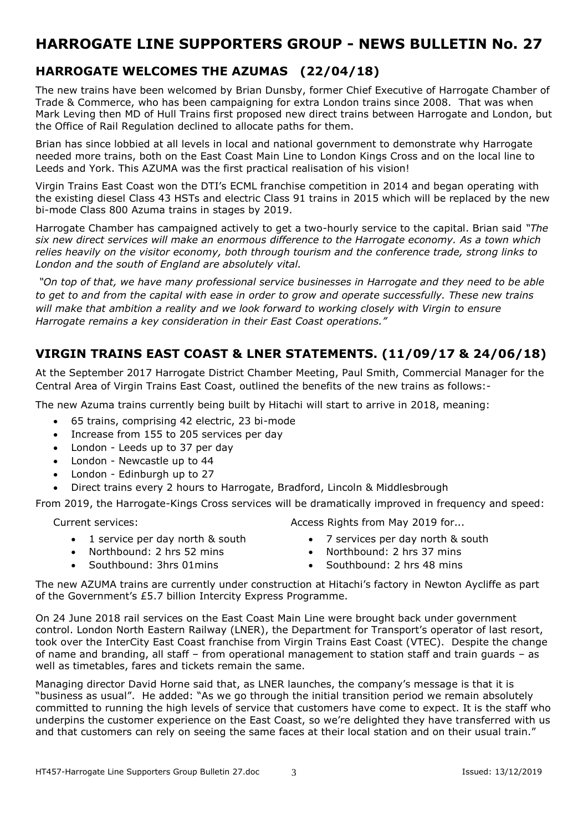## **HARROGATE WELCOMES THE AZUMAS (22/04/18)**

The new trains have been welcomed by Brian Dunsby, former Chief Executive of Harrogate Chamber of Trade & Commerce, who has been campaigning for extra London trains since 2008. That was when Mark Leving then MD of Hull Trains first proposed new direct trains between Harrogate and London, but the Office of Rail Regulation declined to allocate paths for them.

Brian has since lobbied at all levels in local and national government to demonstrate why Harrogate needed more trains, both on the East Coast Main Line to London Kings Cross and on the local line to Leeds and York. This AZUMA was the first practical realisation of his vision!

Virgin Trains East Coast won the DTI's ECML franchise competition in 2014 and began operating with the existing diesel Class 43 HSTs and electric Class 91 trains in 2015 which will be replaced by the new bi-mode Class 800 Azuma trains in stages by 2019.

Harrogate Chamber has campaigned actively to get a two-hourly service to the capital. Brian said *"The six new direct services will make an enormous difference to the Harrogate economy. As a town which relies heavily on the visitor economy, both through tourism and the conference trade, strong links to London and the south of England are absolutely vital.*

*"On top of that, we have many professional service businesses in Harrogate and they need to be able to get to and from the capital with ease in order to grow and operate successfully. These new trains will make that ambition a reality and we look forward to working closely with Virgin to ensure Harrogate remains a key consideration in their East Coast operations."*

## **VIRGIN TRAINS EAST COAST & LNER STATEMENTS. (11/09/17 & 24/06/18)**

At the September 2017 Harrogate District Chamber Meeting, Paul Smith, Commercial Manager for the Central Area of Virgin Trains East Coast, outlined the benefits of the new trains as follows:-

The new Azuma trains currently being built by Hitachi will start to arrive in 2018, meaning:

- 65 trains, comprising 42 electric, 23 bi-mode
- Increase from 155 to 205 services per day
- London Leeds up to 37 per day
- London Newcastle up to 44
- London Edinburgh up to 27
- Direct trains every 2 hours to Harrogate, Bradford, Lincoln & Middlesbrough

From 2019, the Harrogate-Kings Cross services will be dramatically improved in frequency and speed:

Current services:

- 1 service per day north & south
- Northbound: 2 hrs 52 mins
- Southbound: 3hrs 01mins
- Access Rights from May 2019 for.*..*
	- 7 services per day north & south
	- Northbound: 2 hrs 37 mins
	- Southbound: 2 hrs 48 mins

The new AZUMA trains are currently under construction at Hitachi's factory in Newton Aycliffe as part of the Government's £5.7 billion Intercity Express Programme.

On 24 June 2018 rail services on the East Coast Main Line were brought back under government control. London North Eastern Railway (LNER), the Department for Transport's operator of last resort, took over the InterCity East Coast franchise from Virgin Trains East Coast (VTEC). Despite the change of name and branding, all staff – from operational management to station staff and train guards – as well as timetables, fares and tickets remain the same.

Managing director David Horne said that, as LNER launches, the company's message is that it is "business as usual". He added: "As we go through the initial transition period we remain absolutely committed to running the high levels of service that customers have come to expect. It is the staff who underpins the customer experience on the East Coast, so we're delighted they have transferred with us and that customers can rely on seeing the same faces at their local station and on their usual train."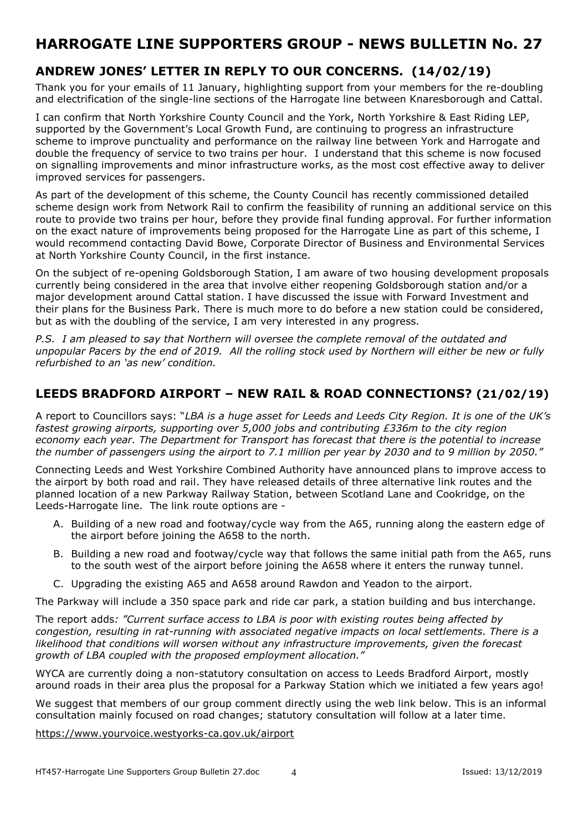## **ANDREW JONES' LETTER IN REPLY TO OUR CONCERNS. (14/02/19)**

Thank you for your emails of 11 January, highlighting support from your members for the re-doubling and electrification of the single-line sections of the Harrogate line between Knaresborough and Cattal.

I can confirm that North Yorkshire County Council and the York, North Yorkshire & East Riding LEP, supported by the Government's Local Growth Fund, are continuing to progress an infrastructure scheme to improve punctuality and performance on the railway line between York and Harrogate and double the frequency of service to two trains per hour. I understand that this scheme is now focused on signalling improvements and minor infrastructure works, as the most cost effective away to deliver improved services for passengers.

As part of the development of this scheme, the County Council has recently commissioned detailed scheme design work from Network Rail to confirm the feasibility of running an additional service on this route to provide two trains per hour, before they provide final funding approval. For further information on the exact nature of improvements being proposed for the Harrogate Line as part of this scheme, I would recommend contacting David Bowe, Corporate Director of Business and Environmental Services at North Yorkshire County Council, in the first instance.

On the subject of re-opening Goldsborough Station, I am aware of two housing development proposals currently being considered in the area that involve either reopening Goldsborough station and/or a major development around Cattal station. I have discussed the issue with Forward Investment and their plans for the Business Park. There is much more to do before a new station could be considered, but as with the doubling of the service, I am very interested in any progress.

*P.S. I am pleased to say that Northern will oversee the complete removal of the outdated and unpopular Pacers by the end of 2019. All the rolling stock used by Northern will either be new or fully refurbished to an 'as new' condition.*

#### **LEEDS BRADFORD AIRPORT – NEW RAIL & ROAD CONNECTIONS? (21/02/19)**

A report to Councillors says: "*LBA is a huge asset for Leeds and Leeds City Region. It is one of the UK's fastest growing airports, supporting over 5,000 jobs and contributing £336m to the city region economy each year. The Department for Transport has forecast that there is the potential to increase the number of passengers using the airport to 7.1 million per year by 2030 and to 9 million by 2050."*

Connecting Leeds and West Yorkshire Combined Authority have announced plans to improve access to the airport by both road and rail. They have released details of three alternative link routes and the planned location of a new Parkway Railway Station, between Scotland Lane and Cookridge, on the Leeds-Harrogate line. The link route options are -

- A. Building of a new road and footway/cycle way from the A65, running along the eastern edge of the airport before joining the A658 to the north.
- B. Building a new road and footway/cycle way that follows the same initial path from the A65, runs to the south west of the airport before joining the A658 where it enters the runway tunnel.
- C. Upgrading the existing A65 and A658 around Rawdon and Yeadon to the airport.

The Parkway will include a 350 space park and ride car park, a station building and bus interchange.

The report adds*: "Current surface access to LBA is poor with existing routes being affected by congestion, resulting in rat-running with associated negative impacts on local settlements. There is a likelihood that conditions will worsen without any infrastructure improvements, given the forecast growth of LBA coupled with the proposed employment allocation."*

WYCA are currently doing a non-statutory consultation on access to Leeds Bradford Airport, mostly around roads in their area plus the proposal for a Parkway Station which we initiated a few years ago!

We suggest that members of our group comment directly using the web link below. This is an informal consultation mainly focused on road changes; statutory consultation will follow at a later time.

#### <https://www.yourvoice.westyorks-ca.gov.uk/airport>